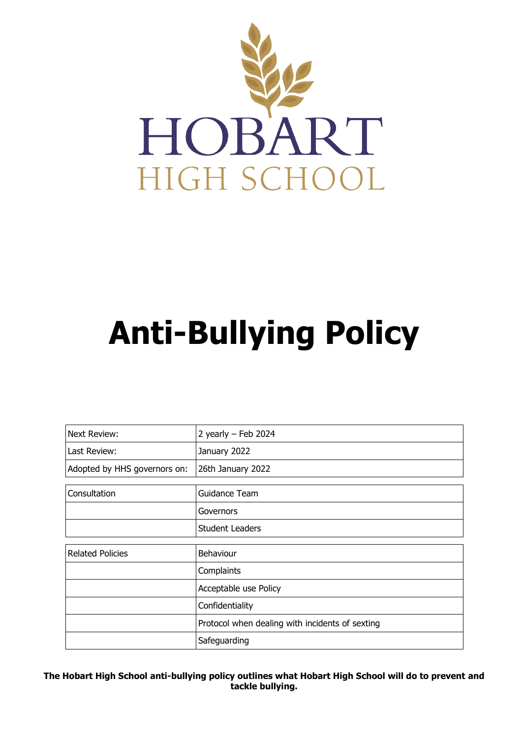

# **Anti-Bullying Policy**

| Next Review:                 | 2 yearly $-$ Feb 2024                           |
|------------------------------|-------------------------------------------------|
| Last Review:                 | January 2022                                    |
| Adopted by HHS governors on: | 26th January 2022                               |
|                              |                                                 |
| Consultation                 | Guidance Team                                   |
|                              | Governors                                       |
|                              | <b>Student Leaders</b>                          |
|                              |                                                 |
| <b>Related Policies</b>      | Behaviour                                       |
|                              | Complaints                                      |
|                              | Acceptable use Policy                           |
|                              | Confidentiality                                 |
|                              | Protocol when dealing with incidents of sexting |
|                              | Safeguarding                                    |

**The Hobart High School anti-bullying policy outlines what Hobart High School will do to prevent and tackle bullying.**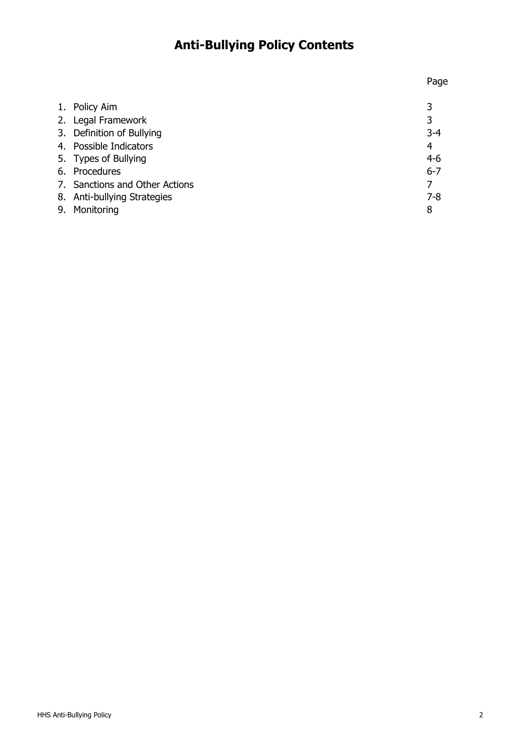# **Anti-Bullying Policy Contents**

| 1. Policy Aim                  |         |
|--------------------------------|---------|
| 2. Legal Framework             | 3       |
| 3. Definition of Bullying      | $3 - 4$ |
| 4. Possible Indicators         | 4       |
| 5. Types of Bullying           | $4-6$   |
| 6. Procedures                  | $6 - 7$ |
| 7. Sanctions and Other Actions |         |
| 8. Anti-bullying Strategies    | $7 - 8$ |
| 9. Monitoring                  | 8       |
|                                |         |

Page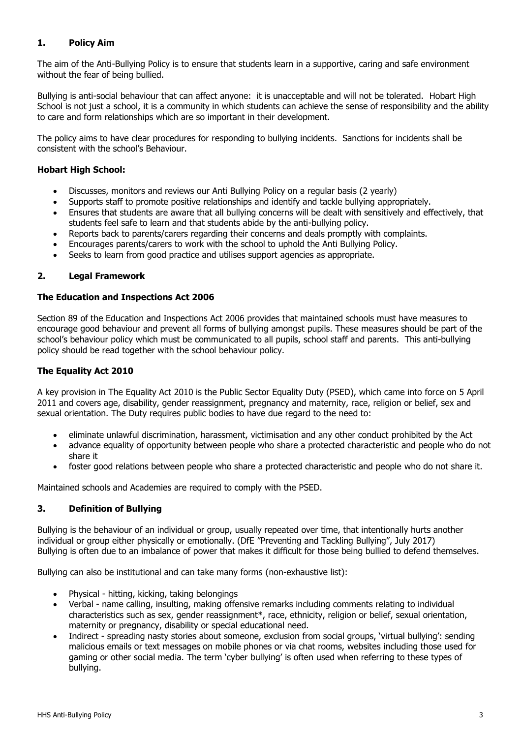### **1. Policy Aim**

The aim of the Anti-Bullying Policy is to ensure that students learn in a supportive, caring and safe environment without the fear of being bullied.

Bullying is anti-social behaviour that can affect anyone: it is unacceptable and will not be tolerated. Hobart High School is not just a school, it is a community in which students can achieve the sense of responsibility and the ability to care and form relationships which are so important in their development.

The policy aims to have clear procedures for responding to bullying incidents. Sanctions for incidents shall be consistent with the school's Behaviour.

#### **Hobart High School:**

- Discusses, monitors and reviews our Anti Bullying Policy on a regular basis (2 yearly)
- Supports staff to promote positive relationships and identify and tackle bullying appropriately.
- Ensures that students are aware that all bullying concerns will be dealt with sensitively and effectively, that students feel safe to learn and that students abide by the anti-bullying policy.
- Reports back to parents/carers regarding their concerns and deals promptly with complaints.
- Encourages parents/carers to work with the school to uphold the Anti Bullying Policy.
- Seeks to learn from good practice and utilises support agencies as appropriate.

#### **2. Legal Framework**

#### **The Education and Inspections Act 2006**

Section 89 of the Education and Inspections Act 2006 provides that maintained schools must have measures to encourage good behaviour and prevent all forms of bullying amongst pupils. These measures should be part of the school's behaviour policy which must be communicated to all pupils, school staff and parents. This anti-bullying policy should be read together with the school behaviour policy.

#### **The Equality Act 2010**

A key provision in The Equality Act 2010 is the Public Sector Equality Duty (PSED), which came into force on 5 April 2011 and covers age, disability, gender reassignment, pregnancy and maternity, race, religion or belief, sex and sexual orientation. The Duty requires public bodies to have due regard to the need to:

- eliminate unlawful discrimination, harassment, victimisation and any other conduct prohibited by the Act
- advance equality of opportunity between people who share a protected characteristic and people who do not share it
- foster good relations between people who share a protected characteristic and people who do not share it.

Maintained schools and Academies are required to comply with the PSED.

#### **3. Definition of Bullying**

Bullying is the behaviour of an individual or group, usually repeated over time, that intentionally hurts another individual or group either physically or emotionally. (DfE "Preventing and Tackling Bullying", July 2017) Bullying is often due to an imbalance of power that makes it difficult for those being bullied to defend themselves.

Bullying can also be institutional and can take many forms (non-exhaustive list):

- Physical hitting, kicking, taking belongings
- Verbal name calling, insulting, making offensive remarks including comments relating to individual characteristics such as sex, gender reassignment\*, race, ethnicity, religion or belief, sexual orientation, maternity or pregnancy, disability or special educational need.
- Indirect spreading nasty stories about someone, exclusion from social groups, 'virtual bullying': sending malicious emails or text messages on mobile phones or via chat rooms, websites including those used for gaming or other social media. The term 'cyber bullying' is often used when referring to these types of bullying.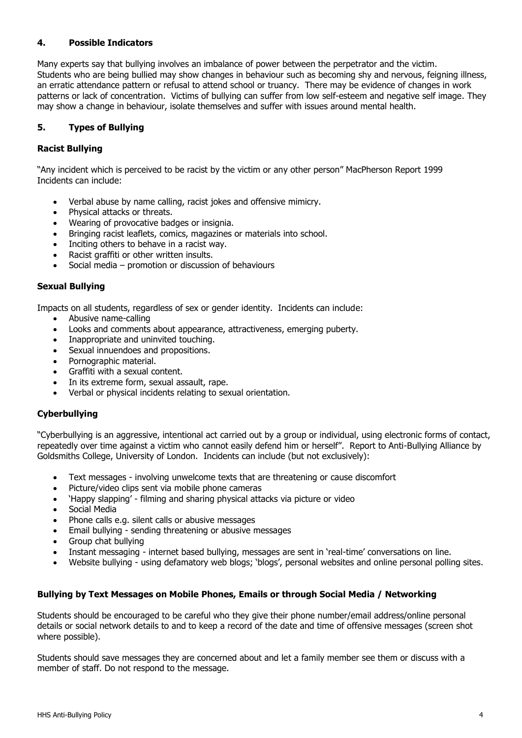#### **4. Possible Indicators**

Many experts say that bullying involves an imbalance of power between the perpetrator and the victim. Students who are being bullied may show changes in behaviour such as becoming shy and nervous, feigning illness, an erratic attendance pattern or refusal to attend school or truancy. There may be evidence of changes in work patterns or lack of concentration. Victims of bullying can suffer from low self-esteem and negative self image. They may show a change in behaviour, isolate themselves and suffer with issues around mental health.

#### **5. Types of Bullying**

#### **Racist Bullying**

"Any incident which is perceived to be racist by the victim or any other person" MacPherson Report 1999 Incidents can include:

- Verbal abuse by name calling, racist jokes and offensive mimicry.
- Physical attacks or threats.
- Wearing of provocative badges or insignia.
- Bringing racist leaflets, comics, magazines or materials into school.
- Inciting others to behave in a racist way.
- Racist graffiti or other written insults.
- Social media promotion or discussion of behaviours

#### **Sexual Bullying**

Impacts on all students, regardless of sex or gender identity. Incidents can include:

- Abusive name-calling
- Looks and comments about appearance, attractiveness, emerging puberty.
- Inappropriate and uninvited touching.
- Sexual innuendoes and propositions.
- Pornographic material.
- Graffiti with a sexual content.
- In its extreme form, sexual assault, rape.
- Verbal or physical incidents relating to sexual orientation.

#### **Cyberbullying**

"Cyberbullying is an aggressive, intentional act carried out by a group or individual, using electronic forms of contact, repeatedly over time against a victim who cannot easily defend him or herself". Report to Anti-Bullying Alliance by Goldsmiths College, University of London. Incidents can include (but not exclusively):

- Text messages involving unwelcome texts that are threatening or cause discomfort
- Picture/video clips sent via mobile phone cameras
- 'Happy slapping' filming and sharing physical attacks via picture or video
- Social Media
- Phone calls e.g. silent calls or abusive messages
- Email bullying sending threatening or abusive messages
- Group chat bullying
- Instant messaging internet based bullying, messages are sent in 'real-time' conversations on line.
- Website bullying using defamatory web blogs; 'blogs', personal websites and online personal polling sites.

## **Bullying by Text Messages on Mobile Phones, Emails or through Social Media / Networking**

Students should be encouraged to be careful who they give their phone number/email address/online personal details or social network details to and to keep a record of the date and time of offensive messages (screen shot where possible).

Students should save messages they are concerned about and let a family member see them or discuss with a member of staff. Do not respond to the message.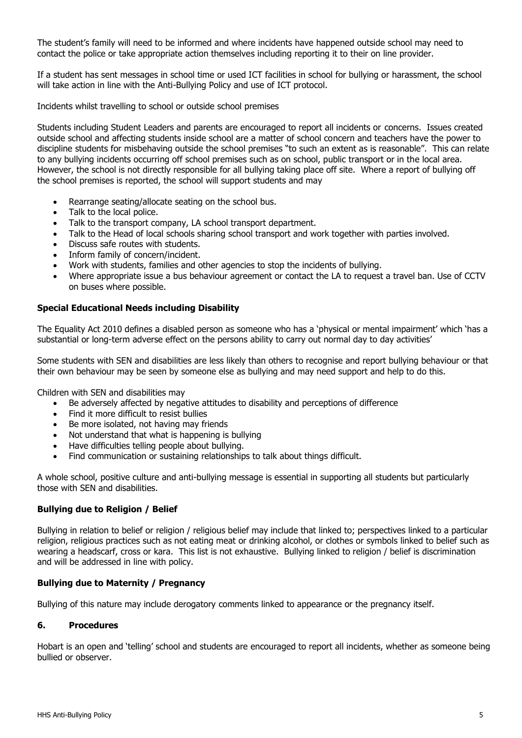The student's family will need to be informed and where incidents have happened outside school may need to contact the police or take appropriate action themselves including reporting it to their on line provider.

If a student has sent messages in school time or used ICT facilities in school for bullying or harassment, the school will take action in line with the Anti-Bullying Policy and use of ICT protocol.

Incidents whilst travelling to school or outside school premises

Students including Student Leaders and parents are encouraged to report all incidents or concerns. Issues created outside school and affecting students inside school are a matter of school concern and teachers have the power to discipline students for misbehaving outside the school premises "to such an extent as is reasonable". This can relate to any bullying incidents occurring off school premises such as on school, public transport or in the local area. However, the school is not directly responsible for all bullying taking place off site. Where a report of bullying off the school premises is reported, the school will support students and may

- Rearrange seating/allocate seating on the school bus.
- Talk to the local police.
- Talk to the transport company, LA school transport department.
- Talk to the Head of local schools sharing school transport and work together with parties involved.
- Discuss safe routes with students.
- Inform family of concern/incident.
- Work with students, families and other agencies to stop the incidents of bullying.
- Where appropriate issue a bus behaviour agreement or contact the LA to request a travel ban. Use of CCTV on buses where possible.

#### **Special Educational Needs including Disability**

The Equality Act 2010 defines a disabled person as someone who has a 'physical or mental impairment' which 'has a substantial or long-term adverse effect on the persons ability to carry out normal day to day activities'

Some students with SEN and disabilities are less likely than others to recognise and report bullying behaviour or that their own behaviour may be seen by someone else as bullying and may need support and help to do this.

Children with SEN and disabilities may

- Be adversely affected by negative attitudes to disability and perceptions of difference
- Find it more difficult to resist bullies
- Be more isolated, not having may friends
- Not understand that what is happening is bullying
- Have difficulties telling people about bullying.
- Find communication or sustaining relationships to talk about things difficult.

A whole school, positive culture and anti-bullying message is essential in supporting all students but particularly those with SEN and disabilities.

#### **Bullying due to Religion / Belief**

Bullying in relation to belief or religion / religious belief may include that linked to; perspectives linked to a particular religion, religious practices such as not eating meat or drinking alcohol, or clothes or symbols linked to belief such as wearing a headscarf, cross or kara. This list is not exhaustive. Bullying linked to religion / belief is discrimination and will be addressed in line with policy.

#### **Bullying due to Maternity / Pregnancy**

Bullying of this nature may include derogatory comments linked to appearance or the pregnancy itself.

#### **6. Procedures**

Hobart is an open and 'telling' school and students are encouraged to report all incidents, whether as someone being bullied or observer.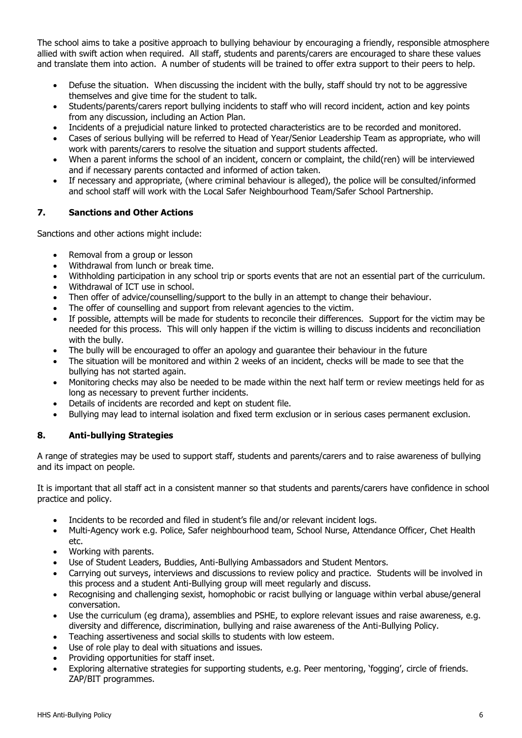The school aims to take a positive approach to bullying behaviour by encouraging a friendly, responsible atmosphere allied with swift action when required. All staff, students and parents/carers are encouraged to share these values and translate them into action. A number of students will be trained to offer extra support to their peers to help.

- Defuse the situation. When discussing the incident with the bully, staff should try not to be aggressive themselves and give time for the student to talk.
- Students/parents/carers report bullying incidents to staff who will record incident, action and key points from any discussion, including an Action Plan.
- Incidents of a prejudicial nature linked to protected characteristics are to be recorded and monitored.
- Cases of serious bullying will be referred to Head of Year/Senior Leadership Team as appropriate, who will work with parents/carers to resolve the situation and support students affected.
- When a parent informs the school of an incident, concern or complaint, the child(ren) will be interviewed and if necessary parents contacted and informed of action taken.
- If necessary and appropriate, (where criminal behaviour is alleged), the police will be consulted/informed and school staff will work with the Local Safer Neighbourhood Team/Safer School Partnership.

#### **7. Sanctions and Other Actions**

Sanctions and other actions might include:

- Removal from a group or lesson
- Withdrawal from lunch or break time.
- Withholding participation in any school trip or sports events that are not an essential part of the curriculum.
- Withdrawal of ICT use in school.
- Then offer of advice/counselling/support to the bully in an attempt to change their behaviour.
- The offer of counselling and support from relevant agencies to the victim.
- If possible, attempts will be made for students to reconcile their differences. Support for the victim may be needed for this process. This will only happen if the victim is willing to discuss incidents and reconciliation with the bully.
- The bully will be encouraged to offer an apology and guarantee their behaviour in the future
- The situation will be monitored and within 2 weeks of an incident, checks will be made to see that the bullying has not started again.
- Monitoring checks may also be needed to be made within the next half term or review meetings held for as long as necessary to prevent further incidents.
- Details of incidents are recorded and kept on student file.
- Bullying may lead to internal isolation and fixed term exclusion or in serious cases permanent exclusion.

#### **8. Anti-bullying Strategies**

A range of strategies may be used to support staff, students and parents/carers and to raise awareness of bullying and its impact on people.

It is important that all staff act in a consistent manner so that students and parents/carers have confidence in school practice and policy.

- Incidents to be recorded and filed in student's file and/or relevant incident logs.
- Multi-Agency work e.g. Police, Safer neighbourhood team, School Nurse, Attendance Officer, Chet Health etc.
- Working with parents.
- Use of Student Leaders, Buddies, Anti-Bullying Ambassadors and Student Mentors.
- Carrying out surveys, interviews and discussions to review policy and practice. Students will be involved in this process and a student Anti-Bullying group will meet regularly and discuss.
- Recognising and challenging sexist, homophobic or racist bullying or language within verbal abuse/general conversation.
- Use the curriculum (eg drama), assemblies and PSHE, to explore relevant issues and raise awareness, e.g. diversity and difference, discrimination, bullying and raise awareness of the Anti-Bullying Policy.
- Teaching assertiveness and social skills to students with low esteem.
- Use of role play to deal with situations and issues.
- Providing opportunities for staff inset.
- Exploring alternative strategies for supporting students, e.g. Peer mentoring, 'fogging', circle of friends. ZAP/BIT programmes.